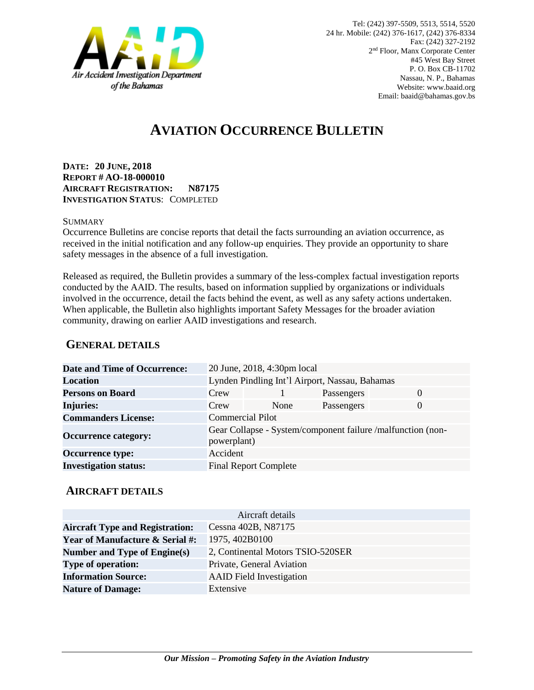

# **AVIATION OCCURRENCE BULLETIN**

**DATE: 20 JUNE, 2018 REPORT # AO-18-000010 AIRCRAFT REGISTRATION: N87175 INVESTIGATION STATUS**: COMPLETED

#### **SUMMARY**

Occurrence Bulletins are concise reports that detail the facts surrounding an aviation occurrence, as received in the initial notification and any follow-up enquiries. They provide an opportunity to share safety messages in the absence of a full investigation*.*

Released as required, the Bulletin provides a summary of the less-complex factual investigation reports conducted by the AAID. The results, based on information supplied by organizations or individuals involved in the occurrence, detail the facts behind the event, as well as any safety actions undertaken. When applicable, the Bulletin also highlights important Safety Messages for the broader aviation community, drawing on earlier AAID investigations and research.

### **GENERAL DETAILS**

| Date and Time of Occurrence: |                                                                            | 20 June, 2018, 4:30pm local  |            |          |
|------------------------------|----------------------------------------------------------------------------|------------------------------|------------|----------|
| Location                     | Lynden Pindling Int'l Airport, Nassau, Bahamas                             |                              |            |          |
| <b>Persons on Board</b>      | Crew                                                                       |                              | Passengers | $\Omega$ |
| <b>Injuries:</b>             | Crew                                                                       | None                         | Passengers | $\Omega$ |
| <b>Commanders License:</b>   | <b>Commercial Pilot</b>                                                    |                              |            |          |
| <b>Occurrence category:</b>  | Gear Collapse - System/component failure /malfunction (non-<br>powerplant) |                              |            |          |
| <b>Occurrence type:</b>      | Accident                                                                   |                              |            |          |
| <b>Investigation status:</b> |                                                                            | <b>Final Report Complete</b> |            |          |

#### **AIRCRAFT DETAILS**

|                                            | Aircraft details                  |
|--------------------------------------------|-----------------------------------|
| <b>Aircraft Type and Registration:</b>     | Cessna 402B, N87175               |
| <b>Year of Manufacture &amp; Serial #:</b> | 1975, 402B0100                    |
| Number and Type of Engine(s)               | 2, Continental Motors TSIO-520SER |
| <b>Type of operation:</b>                  | Private, General Aviation         |
| <b>Information Source:</b>                 | <b>AAID</b> Field Investigation   |
| <b>Nature of Damage:</b>                   | Extensive                         |